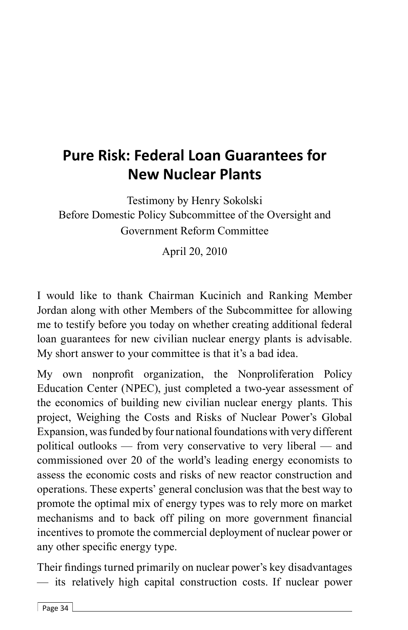# **Pure Risk: Federal Loan Guarantees for New Nuclear Plants**

Testimony by Henry Sokolski Before Domestic Policy Subcommittee of the Oversight and Government Reform Committee

April 20, 2010

I would like to thank Chairman Kucinich and Ranking Member Jordan along with other Members of the Subcommittee for allowing me to testify before you today on whether creating additional federal loan guarantees for new civilian nuclear energy plants is advisable. My short answer to your committee is that it's a bad idea.

My own nonprofit organization, the Nonproliferation Policy Education Center (NPEC), just completed a two-year assessment of the economics of building new civilian nuclear energy plants. This project, Weighing the Costs and Risks of Nuclear Power's Global Expansion, was funded by four national foundations with very different political outlooks — from very conservative to very liberal — and commissioned over 20 of the world's leading energy economists to assess the economic costs and risks of new reactor construction and operations. These experts' general conclusion was that the best way to promote the optimal mix of energy types was to rely more on market mechanisms and to back off piling on more government financial incentives to promote the commercial deployment of nuclear power or any other specific energy type.

Their findings turned primarily on nuclear power's key disadvantages — its relatively high capital construction costs. If nuclear power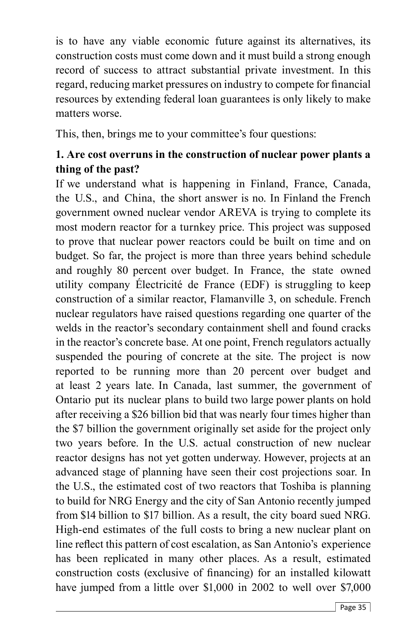is to have any viable economic future against its alternatives, its construction costs must come down and it must build a strong enough record of success to attract substantial private investment. In this regard, reducing market pressures on industry to compete for financial resources by extending federal loan guarantees is only likely to make matters worse.

This, then, brings me to your committee's four questions:

## **1. Are cost overruns in the construction of nuclear power plants a thing of the past?**

If we understand what is happening in Finland, France, Canada, the U.S., and China, the short answer is no. In Finland the French government owned nuclear vendor AREVA is trying to complete its most modern reactor for a turnkey price. This project was supposed to prove that nuclear power reactors could be built on time and on budget. So far, the project is more than three years behind schedule and roughly 80 percent over budget. In France, the state owned utility company Électricité de France (EDF) is struggling to keep construction of a similar reactor, Flamanville 3, on schedule. French nuclear regulators have raised questions regarding one quarter of the welds in the reactor's secondary containment shell and found cracks in the reactor's concrete base. At one point, French regulators actually suspended the pouring of concrete at the site. The project is now reported to be running more than 20 percent over budget and at least 2 years late. In Canada, last summer, the government of Ontario put its nuclear plans to build two large power plants on hold after receiving a \$26 billion bid that was nearly four times higher than the \$7 billion the government originally set aside for the project only two years before. In the U.S. actual construction of new nuclear reactor designs has not yet gotten underway. However, projects at an advanced stage of planning have seen their cost projections soar. In the U.S., the estimated cost of two reactors that Toshiba is planning to build for NRG Energy and the city of San Antonio recently jumped from \$14 billion to \$17 billion. As a result, the city board sued NRG. High-end estimates of the full costs to bring a new nuclear plant on line reflect this pattern of cost escalation, as San Antonio's experience has been replicated in many other places. As a result, estimated construction costs (exclusive of financing) for an installed kilowatt have jumped from a little over \$1,000 in 2002 to well over \$7,000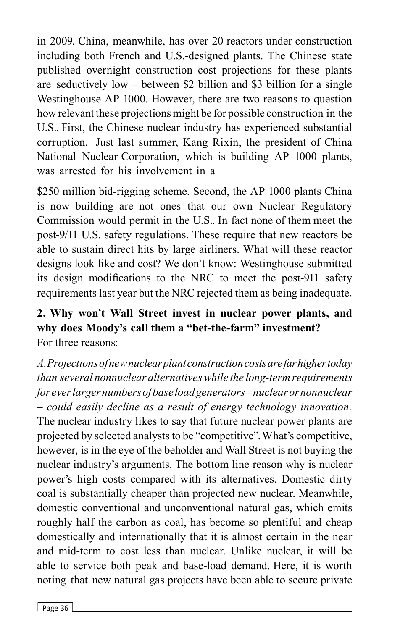in 2009. China, meanwhile, has over 20 reactors under construction including both French and U.S.-designed plants. The Chinese state published overnight construction cost projections for these plants are seductively low – between \$2 billion and \$3 billion for a single Westinghouse AP 1000. However, there are two reasons to question how relevant these projections might be for possible construction in the U.S.. First, the Chinese nuclear industry has experienced substantial corruption. Just last summer, Kang Rixin, the president of China National Nuclear Corporation, which is building AP 1000 plants, was arrested for his involvement in a

\$250 million bid-rigging scheme. Second, the AP 1000 plants China is now building are not ones that our own Nuclear Regulatory Commission would permit in the U.S.. In fact none of them meet the post-9/11 U.S. safety regulations. These require that new reactors be able to sustain direct hits by large airliners. What will these reactor designs look like and cost? We don't know: Westinghouse submitted its design modifications to the NRC to meet the post-911 safety requirements last year but the NRC rejected them as being inadequate.

#### **2. Why won't Wall Street invest in nuclear power plants, and why does Moody's call them a "bet-the-farm" investment?** For three reasons:

*A. Projections of new nuclear plant construction costs are far higher today than several nonnuclear alternatives while the long-term requirements for ever larger numbers of base load generators – nuclear or nonnuclear – could easily decline as a result of energy technology innovation.*  The nuclear industry likes to say that future nuclear power plants are projected by selected analysts to be "competitive". What's competitive, however, is in the eye of the beholder and Wall Street is not buying the nuclear industry's arguments. The bottom line reason why is nuclear power's high costs compared with its alternatives. Domestic dirty coal is substantially cheaper than projected new nuclear. Meanwhile, domestic conventional and unconventional natural gas, which emits roughly half the carbon as coal, has become so plentiful and cheap domestically and internationally that it is almost certain in the near and mid-term to cost less than nuclear. Unlike nuclear, it will be able to service both peak and base-load demand. Here, it is worth noting that new natural gas projects have been able to secure private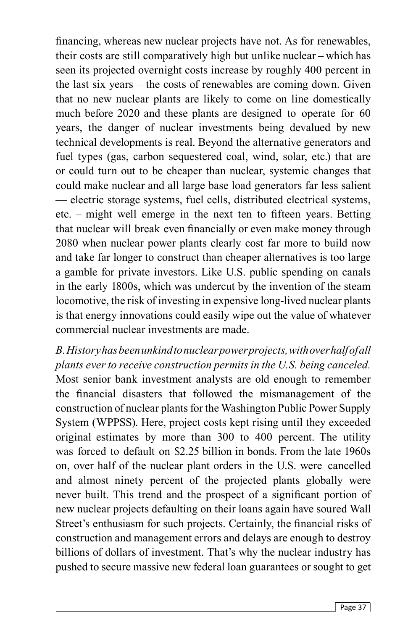financing, whereas new nuclear projects have not. As for renewables, their costs are still comparatively high but unlike nuclear – which has seen its projected overnight costs increase by roughly 400 percent in the last six years – the costs of renewables are coming down. Given that no new nuclear plants are likely to come on line domestically much before 2020 and these plants are designed to operate for 60 years, the danger of nuclear investments being devalued by new technical developments is real. Beyond the alternative generators and fuel types (gas, carbon sequestered coal, wind, solar, etc.) that are or could turn out to be cheaper than nuclear, systemic changes that could make nuclear and all large base load generators far less salient — electric storage systems, fuel cells, distributed electrical systems,  $etc.$  – might well emerge in the next ten to fifteen years. Betting that nuclear will break even financially or even make money through 2080 when nuclear power plants clearly cost far more to build now and take far longer to construct than cheaper alternatives is too large a gamble for private investors. Like U.S. public spending on canals in the early 1800s, which was undercut by the invention of the steam locomotive, the risk of investing in expensive long-lived nuclear plants is that energy innovations could easily wipe out the value of whatever commercial nuclear investments are made.

*B. History has been unkind to nuclear power projects, with over half of all plants ever to receive construction permits in the U.S. being canceled.* Most senior bank investment analysts are old enough to remember the financial disasters that followed the mismanagement of the construction of nuclear plants for the Washington Public Power Supply System (WPPSS). Here, project costs kept rising until they exceeded original estimates by more than 300 to 400 percent. The utility was forced to default on \$2.25 billion in bonds. From the late 1960s on, over half of the nuclear plant orders in the U.S. were cancelled and almost ninety percent of the projected plants globally were never built. This trend and the prospect of a significant portion of new nuclear projects defaulting on their loans again have soured Wall Street's enthusiasm for such projects. Certainly, the financial risks of construction and management errors and delays are enough to destroy billions of dollars of investment. That's why the nuclear industry has pushed to secure massive new federal loan guarantees or sought to get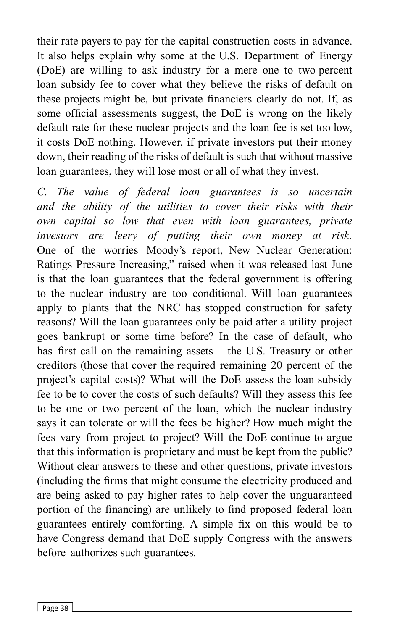their rate payers to pay for the capital construction costs in advance. It also helps explain why some at the U.S. Department of Energy (DoE) are willing to ask industry for a mere one to two percent loan subsidy fee to cover what they believe the risks of default on these projects might be, but private financiers clearly do not. If, as some official assessments suggest, the DoE is wrong on the likely default rate for these nuclear projects and the loan fee is set too low, it costs DoE nothing. However, if private investors put their money down, their reading of the risks of default is such that without massive loan guarantees, they will lose most or all of what they invest.

*C. The value of federal loan guarantees is so uncertain and the ability of the utilities to cover their risks with their own capital so low that even with loan guarantees, private investors are leery of putting their own money at risk.* One of the worries Moody's report, New Nuclear Generation: Ratings Pressure Increasing," raised when it was released last June is that the loan guarantees that the federal government is offering to the nuclear industry are too conditional. Will loan guarantees apply to plants that the NRC has stopped construction for safety reasons? Will the loan guarantees only be paid after a utility project goes bankrupt or some time before? In the case of default, who has first call on the remaining assets  $-$  the U.S. Treasury or other creditors (those that cover the required remaining 20 percent of the project's capital costs)? What will the DoE assess the loan subsidy fee to be to cover the costs of such defaults? Will they assess this fee to be one or two percent of the loan, which the nuclear industry says it can tolerate or will the fees be higher? How much might the fees vary from project to project? Will the DoE continue to argue that this information is proprietary and must be kept from the public? Without clear answers to these and other questions, private investors (including the firms that might consume the electricity produced and are being asked to pay higher rates to help cover the unguaranteed portion of the financing) are unlikely to find proposed federal loan guarantees entirely comforting. A simple fix on this would be to have Congress demand that DoE supply Congress with the answers before authorizes such guarantees.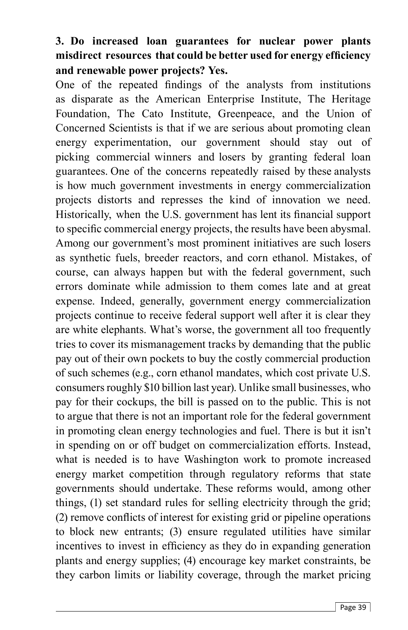## **3. Do increased loan guarantees for nuclear power plants**  misdirect resources that could be better used for energy efficiency **and renewable power projects? Yes.**

One of the repeated findings of the analysts from institutions as disparate as the American Enterprise Institute, The Heritage Foundation, The Cato Institute, Greenpeace, and the Union of Concerned Scientists is that if we are serious about promoting clean energy experimentation, our government should stay out of picking commercial winners and losers by granting federal loan guarantees. One of the concerns repeatedly raised by these analysts is how much government investments in energy commercialization projects distorts and represses the kind of innovation we need. Historically, when the U.S. government has lent its financial support to specific commercial energy projects, the results have been abysmal. Among our government's most prominent initiatives are such losers as synthetic fuels, breeder reactors, and corn ethanol. Mistakes, of course, can always happen but with the federal government, such errors dominate while admission to them comes late and at great expense. Indeed, generally, government energy commercialization projects continue to receive federal support well after it is clear they are white elephants. What's worse, the government all too frequently tries to cover its mismanagement tracks by demanding that the public pay out of their own pockets to buy the costly commercial production of such schemes (e.g., corn ethanol mandates, which cost private U.S. consumers roughly \$10 billion last year). Unlike small businesses, who pay for their cockups, the bill is passed on to the public. This is not to argue that there is not an important role for the federal government in promoting clean energy technologies and fuel. There is but it isn't in spending on or off budget on commercialization efforts. Instead, what is needed is to have Washington work to promote increased energy market competition through regulatory reforms that state governments should undertake. These reforms would, among other things, (1) set standard rules for selling electricity through the grid; (2) remove conflicts of interest for existing grid or pipeline operations to block new entrants; (3) ensure regulated utilities have similar incentives to invest in efficiency as they do in expanding generation plants and energy supplies; (4) encourage key market constraints, be they carbon limits or liability coverage, through the market pricing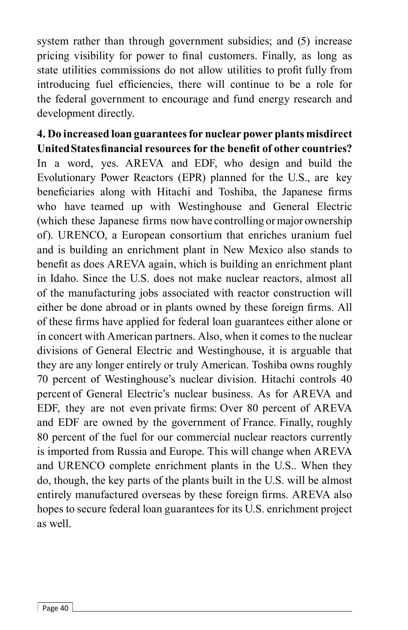system rather than through government subsidies; and (5) increase pricing visibility for power to final customers. Finally, as long as state utilities commissions do not allow utilities to profit fully from introducing fuel efficiencies, there will continue to be a role for the federal government to encourage and fund energy research and development directly.

**4. Do increased loan guarantees for nuclear power plants misdirect United States financial resources for the benefit of other countries?** In a word, yes. AREVA and EDF, who design and build the Evolutionary Power Reactors (EPR) planned for the U.S., are key beneficiaries along with Hitachi and Toshiba, the Japanese firms who have teamed up with Westinghouse and General Electric (which these Japanese firms now have controlling or major ownership of). URENCO, a European consortium that enriches uranium fuel and is building an enrichment plant in New Mexico also stands to benefit as does AREVA again, which is building an enrichment plant in Idaho. Since the U.S. does not make nuclear reactors, almost all of the manufacturing jobs associated with reactor construction will either be done abroad or in plants owned by these foreign firms. All of these firms have applied for federal loan guarantees either alone or in concert with American partners. Also, when it comes to the nuclear divisions of General Electric and Westinghouse, it is arguable that they are any longer entirely or truly American. Toshiba owns roughly 70 percent of Westinghouse's nuclear division. Hitachi controls 40 percent of General Electric's nuclear business. As for AREVA and EDF, they are not even private firms: Over 80 percent of AREVA and EDF are owned by the government of France. Finally, roughly 80 percent of the fuel for our commercial nuclear reactors currently is imported from Russia and Europe. This will change when AREVA and URENCO complete enrichment plants in the U.S.. When they do, though, the key parts of the plants built in the U.S. will be almost entirely manufactured overseas by these foreign firms. AREVA also hopes to secure federal loan guarantees for its U.S. enrichment project as well.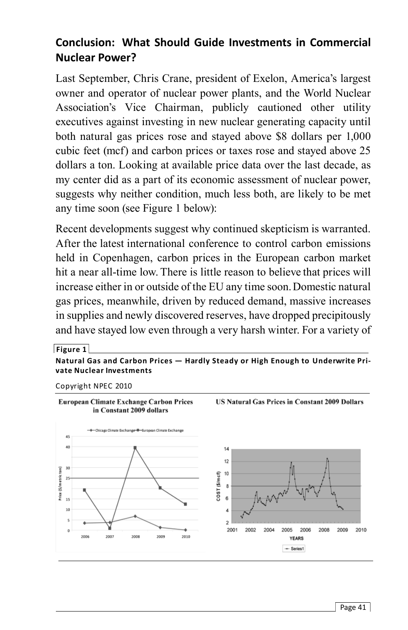## **Conclusion: What Should Guide Investments in Commercial Nuclear Power?**

Last September, Chris Crane, president of Exelon, America's largest owner and operator of nuclear power plants, and the World Nuclear Association's Vice Chairman, publicly cautioned other utility executives against investing in new nuclear generating capacity until both natural gas prices rose and stayed above \$8 dollars per 1,000 cubic feet (mcf) and carbon prices or taxes rose and stayed above 25 dollars a ton. Looking at available price data over the last decade, as my center did as a part of its economic assessment of nuclear power, suggests why neither condition, much less both, are likely to be met any time soon (see Figure 1 below):

Recent developments suggest why continued skepticism is warranted. After the latest international conference to control carbon emissions held in Copenhagen, carbon prices in the European carbon market hit a near all-time low. There is little reason to believe that prices will increase either in or outside of the EU any time soon. Domestic natural gas prices, meanwhile, driven by reduced demand, massive increases in supplies and newly discovered reserves, have dropped precipitously and have stayed low even through a very harsh winter. For a variety of

**Figure 1**

**Natural Gas and Carbon Prices — Hardly Steady or High Enough to Underwrite Private Nuclear Investments**

Copyright NPEC 2010